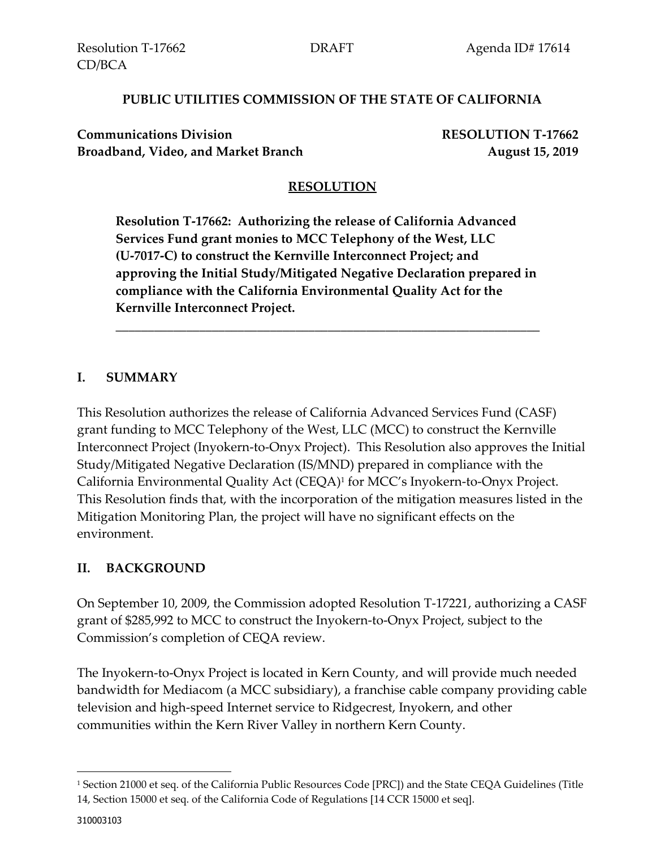### **PUBLIC UTILITIES COMMISSION OF THE STATE OF CALIFORNIA**

**Communications Division RESOLUTION T-17662** Broadband, Video, and Market Branch **August 15, 2019** 

# **RESOLUTION**

**Resolution T-17662: Authorizing the release of California Advanced Services Fund grant monies to MCC Telephony of the West, LLC (U-7017-C) to construct the Kernville Interconnect Project; and approving the Initial Study/Mitigated Negative Declaration prepared in compliance with the California Environmental Quality Act for the Kernville Interconnect Project.**

\_\_\_\_\_\_\_\_\_\_\_\_\_\_\_\_\_\_\_\_\_\_\_\_\_\_\_\_\_\_\_\_\_\_\_\_\_\_\_\_\_\_\_\_\_\_\_\_\_\_\_\_\_\_\_\_\_\_\_\_\_\_\_\_\_\_

## **I. SUMMARY**

This Resolution authorizes the release of California Advanced Services Fund (CASF) grant funding to MCC Telephony of the West, LLC (MCC) to construct the Kernville Interconnect Project (Inyokern-to-Onyx Project). This Resolution also approves the Initial Study/Mitigated Negative Declaration (IS/MND) prepared in compliance with the California Environmental Quality Act (CEQA)<sup>1</sup> for MCC's Inyokern-to-Onyx Project. This Resolution finds that, with the incorporation of the mitigation measures listed in the Mitigation Monitoring Plan, the project will have no significant effects on the environment.

## **II. BACKGROUND**

On September 10, 2009, the Commission adopted Resolution T-17221, authorizing a CASF grant of \$285,992 to MCC to construct the Inyokern-to-Onyx Project, subject to the Commission's completion of CEQA review.

The Inyokern-to-Onyx Project is located in Kern County, and will provide much needed bandwidth for Mediacom (a MCC subsidiary), a franchise cable company providing cable television and high-speed Internet service to Ridgecrest, Inyokern, and other communities within the Kern River Valley in northern Kern County.

 $\overline{a}$ 

<sup>1</sup> Section 21000 et seq. of the California Public Resources Code [PRC]) and the State CEQA Guidelines (Title 14, Section 15000 et seq. of the California Code of Regulations [14 CCR 15000 et seq].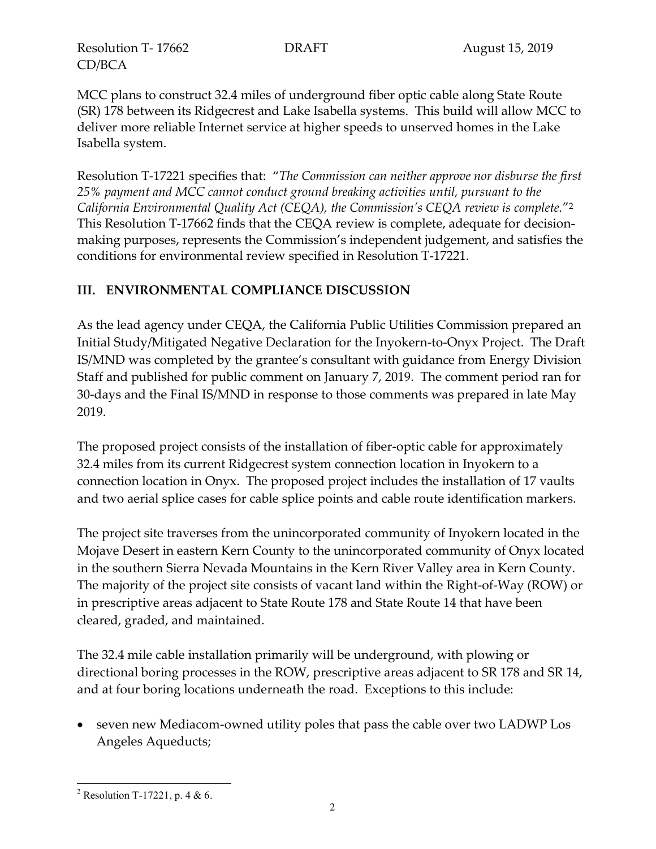Resolution T- 17662 DRAFT August 15, 2019 CD/BCA

MCC plans to construct 32.4 miles of underground fiber optic cable along State Route (SR) 178 between its Ridgecrest and Lake Isabella systems. This build will allow MCC to deliver more reliable Internet service at higher speeds to unserved homes in the Lake Isabella system.

Resolution T-17221 specifies that: "*The Commission can neither approve nor disburse the first 25% payment and MCC cannot conduct ground breaking activities until, pursuant to the California Environmental Quality Act (CEQA), the Commission's CEQA review is complete.*"<sup>2</sup> This Resolution T-17662 finds that the CEQA review is complete, adequate for decisionmaking purposes, represents the Commission's independent judgement, and satisfies the conditions for environmental review specified in Resolution T-17221.

## **III. ENVIRONMENTAL COMPLIANCE DISCUSSION**

As the lead agency under CEQA, the California Public Utilities Commission prepared an Initial Study/Mitigated Negative Declaration for the Inyokern-to-Onyx Project. The Draft IS/MND was completed by the grantee's consultant with guidance from Energy Division Staff and published for public comment on January 7, 2019. The comment period ran for 30-days and the Final IS/MND in response to those comments was prepared in late May 2019.

The proposed project consists of the installation of fiber-optic cable for approximately 32.4 miles from its current Ridgecrest system connection location in Inyokern to a connection location in Onyx. The proposed project includes the installation of 17 vaults and two aerial splice cases for cable splice points and cable route identification markers.

The project site traverses from the unincorporated community of Inyokern located in the Mojave Desert in eastern Kern County to the unincorporated community of Onyx located in the southern Sierra Nevada Mountains in the Kern River Valley area in Kern County. The majority of the project site consists of vacant land within the Right-of-Way (ROW) or in prescriptive areas adjacent to State Route 178 and State Route 14 that have been cleared, graded, and maintained.

The 32.4 mile cable installation primarily will be underground, with plowing or directional boring processes in the ROW, prescriptive areas adjacent to SR 178 and SR 14, and at four boring locations underneath the road. Exceptions to this include:

• seven new Mediacom-owned utility poles that pass the cable over two LADWP Los Angeles Aqueducts;

 $\overline{a}$ <sup>2</sup> Resolution T-17221, p. 4 & 6.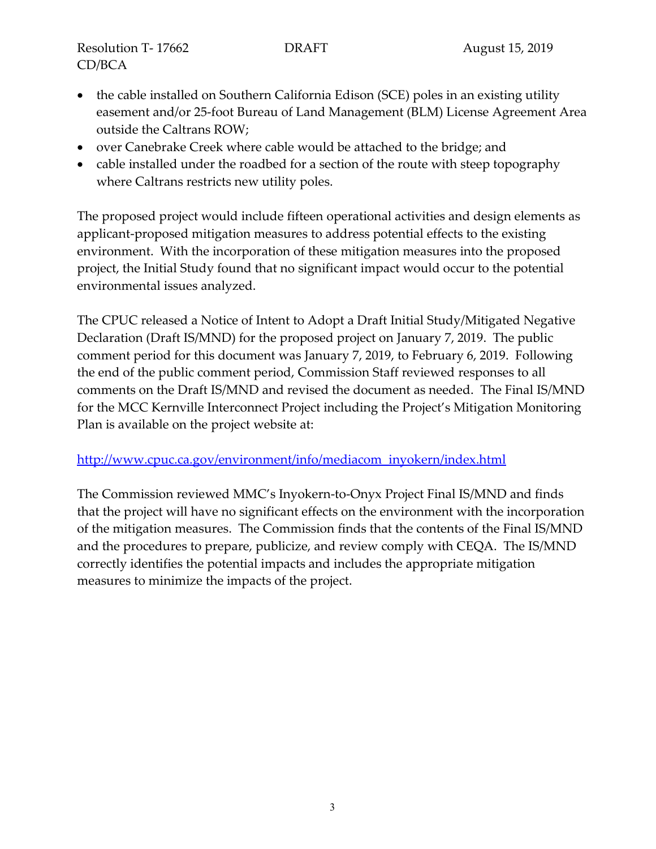Resolution T- 17662 DRAFT August 15, 2019 CD/BCA

- the cable installed on Southern California Edison (SCE) poles in an existing utility easement and/or 25-foot Bureau of Land Management (BLM) License Agreement Area outside the Caltrans ROW;
- over Canebrake Creek where cable would be attached to the bridge; and
- cable installed under the roadbed for a section of the route with steep topography where Caltrans restricts new utility poles.

The proposed project would include fifteen operational activities and design elements as applicant-proposed mitigation measures to address potential effects to the existing environment. With the incorporation of these mitigation measures into the proposed project, the Initial Study found that no significant impact would occur to the potential environmental issues analyzed.

The CPUC released a Notice of Intent to Adopt a Draft Initial Study/Mitigated Negative Declaration (Draft IS/MND) for the proposed project on January 7, 2019. The public comment period for this document was January 7, 2019, to February 6, 2019. Following the end of the public comment period, Commission Staff reviewed responses to all comments on the Draft IS/MND and revised the document as needed. The Final IS/MND for the MCC Kernville Interconnect Project including the Project's Mitigation Monitoring Plan is available on the project website at:

#### [http://www.cpuc.ca.gov/environment/info/mediacom\\_inyokern/index.html](http://www.cpuc.ca.gov/environment/info/mediacom_inyokern/index.html)

The Commission reviewed MMC's Inyokern-to-Onyx Project Final IS/MND and finds that the project will have no significant effects on the environment with the incorporation of the mitigation measures. The Commission finds that the contents of the Final IS/MND and the procedures to prepare, publicize, and review comply with CEQA. The IS/MND correctly identifies the potential impacts and includes the appropriate mitigation measures to minimize the impacts of the project.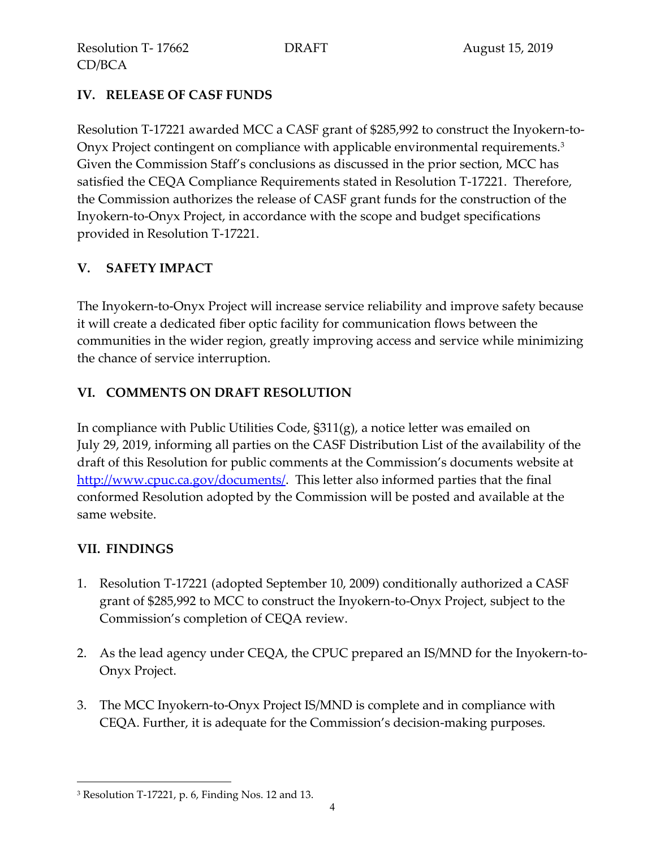# **IV. RELEASE OF CASF FUNDS**

Resolution T-17221 awarded MCC a CASF grant of \$285,992 to construct the Inyokern-to-Onyx Project contingent on compliance with applicable environmental requirements.<sup>3</sup> Given the Commission Staff's conclusions as discussed in the prior section, MCC has satisfied the CEQA Compliance Requirements stated in Resolution T-17221. Therefore, the Commission authorizes the release of CASF grant funds for the construction of the Inyokern-to-Onyx Project, in accordance with the scope and budget specifications provided in Resolution T-17221.

# **V. SAFETY IMPACT**

The Inyokern-to-Onyx Project will increase service reliability and improve safety because it will create a dedicated fiber optic facility for communication flows between the communities in the wider region, greatly improving access and service while minimizing the chance of service interruption.

# **VI. COMMENTS ON DRAFT RESOLUTION**

In compliance with Public Utilities Code, §311(g), a notice letter was emailed on July 29, 2019, informing all parties on the CASF Distribution List of the availability of the draft of this Resolution for public comments at the Commission's documents website at [http://www.cpuc.ca.gov/documents/.](http://www.cpuc.ca.gov/documents/) This letter also informed parties that the final conformed Resolution adopted by the Commission will be posted and available at the same website.

## **VII. FINDINGS**

l

- 1. Resolution T-17221 (adopted September 10, 2009) conditionally authorized a CASF grant of \$285,992 to MCC to construct the Inyokern-to-Onyx Project, subject to the Commission's completion of CEQA review.
- 2. As the lead agency under CEQA, the CPUC prepared an IS/MND for the Inyokern-to-Onyx Project.
- 3. The MCC Inyokern-to-Onyx Project IS/MND is complete and in compliance with CEQA. Further, it is adequate for the Commission's decision-making purposes.

<sup>3</sup> Resolution T-17221, p. 6, Finding Nos. 12 and 13.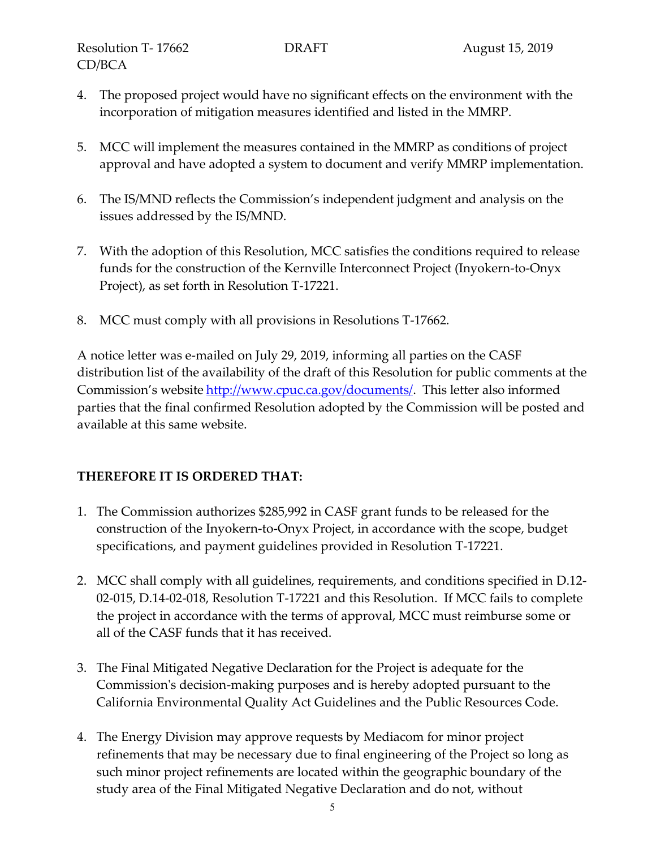- 4. The proposed project would have no significant effects on the environment with the incorporation of mitigation measures identified and listed in the MMRP.
- 5. MCC will implement the measures contained in the MMRP as conditions of project approval and have adopted a system to document and verify MMRP implementation.
- 6. The IS/MND reflects the Commission's independent judgment and analysis on the issues addressed by the IS/MND.
- 7. With the adoption of this Resolution, MCC satisfies the conditions required to release funds for the construction of the Kernville Interconnect Project (Inyokern-to-Onyx Project), as set forth in Resolution T-17221.
- 8. MCC must comply with all provisions in Resolutions T-17662.

A notice letter was e-mailed on July 29, 2019, informing all parties on the CASF distribution list of the availability of the draft of this Resolution for public comments at the Commission's website [http://www.cpuc.ca.gov/documents/.](http://www.cpuc.ca.gov/documents/) This letter also informed parties that the final confirmed Resolution adopted by the Commission will be posted and available at this same website.

## **THEREFORE IT IS ORDERED THAT:**

- 1. The Commission authorizes \$285,992 in CASF grant funds to be released for the construction of the Inyokern-to-Onyx Project, in accordance with the scope, budget specifications, and payment guidelines provided in Resolution T-17221.
- 2. MCC shall comply with all guidelines, requirements, and conditions specified in D.12- 02-015, D.14-02-018, Resolution T-17221 and this Resolution. If MCC fails to complete the project in accordance with the terms of approval, MCC must reimburse some or all of the CASF funds that it has received.
- 3. The Final Mitigated Negative Declaration for the Project is adequate for the Commission's decision-making purposes and is hereby adopted pursuant to the California Environmental Quality Act Guidelines and the Public Resources Code.
- 4. The Energy Division may approve requests by Mediacom for minor project refinements that may be necessary due to final engineering of the Project so long as such minor project refinements are located within the geographic boundary of the study area of the Final Mitigated Negative Declaration and do not, without